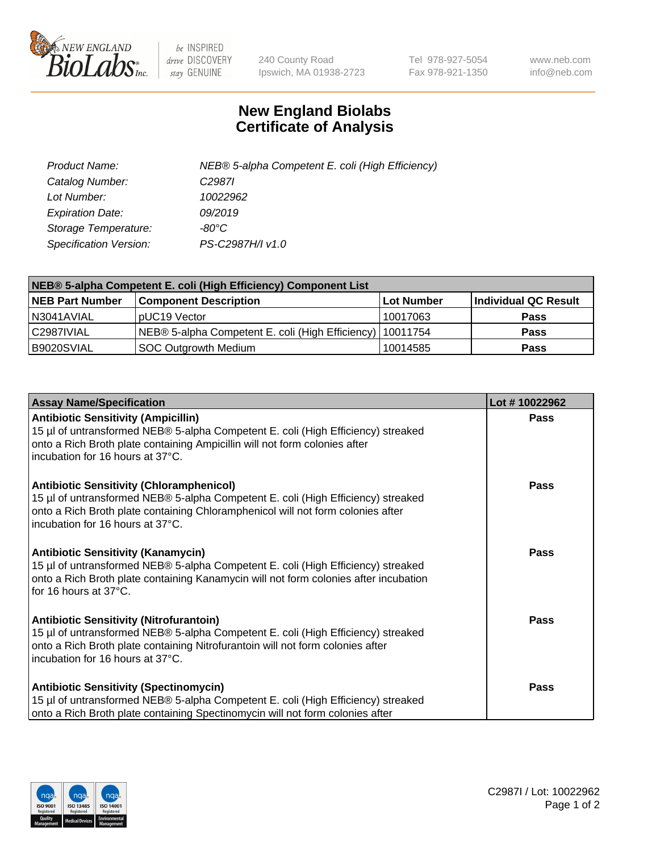

 $be$  INSPIRED drive DISCOVERY stay GENUINE

240 County Road Ipswich, MA 01938-2723 Tel 978-927-5054 Fax 978-921-1350 www.neb.com info@neb.com

## **New England Biolabs Certificate of Analysis**

| Product Name:           | NEB® 5-alpha Competent E. coli (High Efficiency) |
|-------------------------|--------------------------------------------------|
| Catalog Number:         | C <sub>2987</sub>                                |
| Lot Number:             | 10022962                                         |
| <b>Expiration Date:</b> | 09/2019                                          |
| Storage Temperature:    | -80°C                                            |
| Specification Version:  | PS-C2987H/I v1.0                                 |

| NEB® 5-alpha Competent E. coli (High Efficiency) Component List |                                                             |            |                      |  |
|-----------------------------------------------------------------|-------------------------------------------------------------|------------|----------------------|--|
| <b>NEB Part Number</b>                                          | <b>Component Description</b>                                | Lot Number | Individual QC Result |  |
| N3041AVIAL                                                      | pUC19 Vector                                                | 10017063   | Pass                 |  |
| C2987IVIAL                                                      | NEB® 5-alpha Competent E. coli (High Efficiency)   10011754 |            | <b>Pass</b>          |  |
| B9020SVIAL                                                      | <b>SOC Outgrowth Medium</b>                                 | 10014585   | <b>Pass</b>          |  |

| <b>Assay Name/Specification</b>                                                                                                                                                                                                                            | Lot #10022962 |
|------------------------------------------------------------------------------------------------------------------------------------------------------------------------------------------------------------------------------------------------------------|---------------|
| <b>Antibiotic Sensitivity (Ampicillin)</b><br>15 µl of untransformed NEB® 5-alpha Competent E. coli (High Efficiency) streaked<br>onto a Rich Broth plate containing Ampicillin will not form colonies after<br>incubation for 16 hours at 37°C.           | Pass          |
| <b>Antibiotic Sensitivity (Chloramphenicol)</b><br>15 µl of untransformed NEB® 5-alpha Competent E. coli (High Efficiency) streaked<br>onto a Rich Broth plate containing Chloramphenicol will not form colonies after<br>incubation for 16 hours at 37°C. | <b>Pass</b>   |
| <b>Antibiotic Sensitivity (Kanamycin)</b><br>15 µl of untransformed NEB® 5-alpha Competent E. coli (High Efficiency) streaked<br>onto a Rich Broth plate containing Kanamycin will not form colonies after incubation<br>for 16 hours at 37°C.             | Pass          |
| <b>Antibiotic Sensitivity (Nitrofurantoin)</b><br>15 µl of untransformed NEB® 5-alpha Competent E. coli (High Efficiency) streaked<br>onto a Rich Broth plate containing Nitrofurantoin will not form colonies after<br>incubation for 16 hours at 37°C.   | Pass          |
| <b>Antibiotic Sensitivity (Spectinomycin)</b><br>15 µl of untransformed NEB® 5-alpha Competent E. coli (High Efficiency) streaked<br>onto a Rich Broth plate containing Spectinomycin will not form colonies after                                         | Pass          |